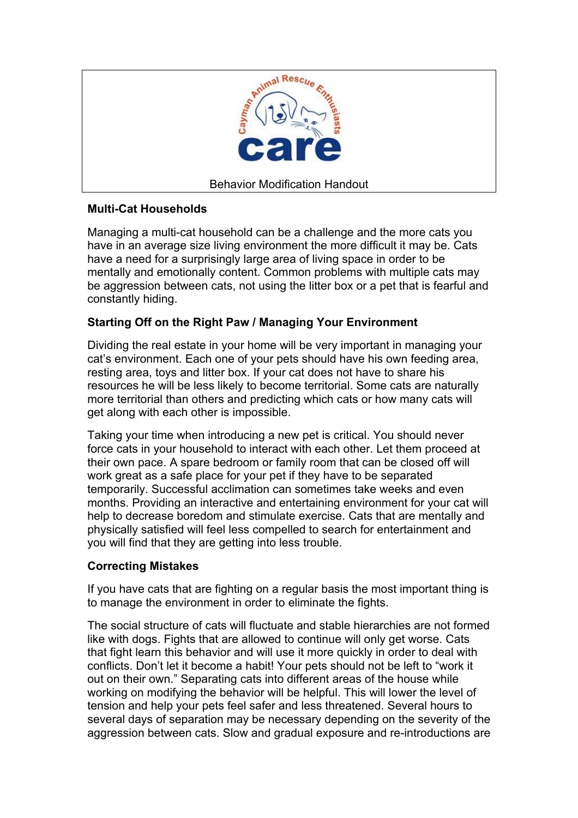

## **Multi-Cat Households**

Managing a multi-cat household can be a challenge and the more cats you have in an average size living environment the more difficult it may be. Cats have a need for a surprisingly large area of living space in order to be mentally and emotionally content. Common problems with multiple cats may be aggression between cats, not using the litter box or a pet that is fearful and constantly hiding.

# **Starting Off on the Right Paw / Managing Your Environment**

Dividing the real estate in your home will be very important in managing your cat's environment. Each one of your pets should have his own feeding area, resting area, toys and litter box. If your cat does not have to share his resources he will be less likely to become territorial. Some cats are naturally more territorial than others and predicting which cats or how many cats will get along with each other is impossible.

Taking your time when introducing a new pet is critical. You should never force cats in your household to interact with each other. Let them proceed at their own pace. A spare bedroom or family room that can be closed off will work great as a safe place for your pet if they have to be separated temporarily. Successful acclimation can sometimes take weeks and even months. Providing an interactive and entertaining environment for your cat will help to decrease boredom and stimulate exercise. Cats that are mentally and physically satisfied will feel less compelled to search for entertainment and you will find that they are getting into less trouble.

## **Correcting Mistakes**

If you have cats that are fighting on a regular basis the most important thing is to manage the environment in order to eliminate the fights.

The social structure of cats will fluctuate and stable hierarchies are not formed like with dogs. Fights that are allowed to continue will only get worse. Cats that fight learn this behavior and will use it more quickly in order to deal with conflicts. Don't let it become a habit! Your pets should not be left to "work it out on their own." Separating cats into different areas of the house while working on modifying the behavior will be helpful. This will lower the level of tension and help your pets feel safer and less threatened. Several hours to several days of separation may be necessary depending on the severity of the aggression between cats. Slow and gradual exposure and re-introductions are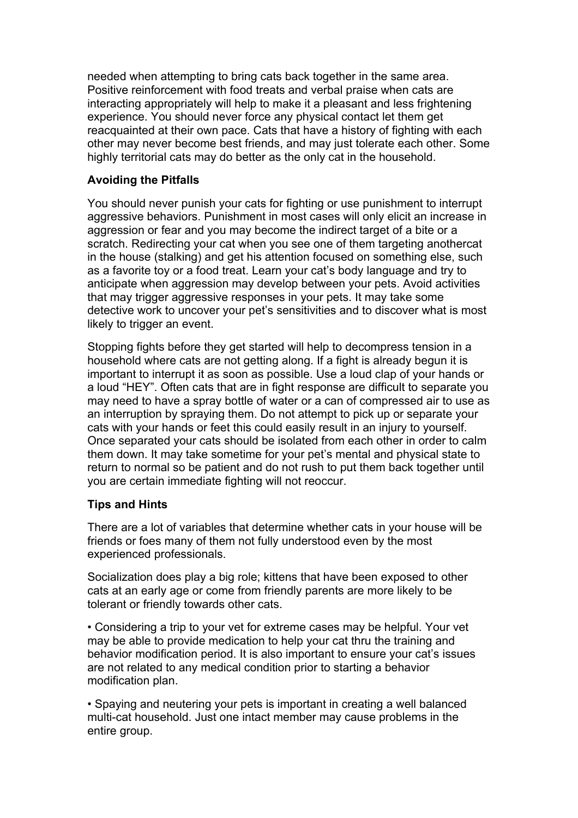needed when attempting to bring cats back together in the same area. Positive reinforcement with food treats and verbal praise when cats are interacting appropriately will help to make it a pleasant and less frightening experience. You should never force any physical contact let them get reacquainted at their own pace. Cats that have a history of fighting with each other may never become best friends, and may just tolerate each other. Some highly territorial cats may do better as the only cat in the household.

#### **Avoiding the Pitfalls**

You should never punish your cats for fighting or use punishment to interrupt aggressive behaviors. Punishment in most cases will only elicit an increase in aggression or fear and you may become the indirect target of a bite or a scratch. Redirecting your cat when you see one of them targeting anothercat in the house (stalking) and get his attention focused on something else, such as a favorite toy or a food treat. Learn your cat's body language and try to anticipate when aggression may develop between your pets. Avoid activities that may trigger aggressive responses in your pets. It may take some detective work to uncover your pet's sensitivities and to discover what is most likely to trigger an event.

Stopping fights before they get started will help to decompress tension in a household where cats are not getting along. If a fight is already begun it is important to interrupt it as soon as possible. Use a loud clap of your hands or a loud "HEY". Often cats that are in fight response are difficult to separate you may need to have a spray bottle of water or a can of compressed air to use as an interruption by spraying them. Do not attempt to pick up or separate your cats with your hands or feet this could easily result in an injury to yourself. Once separated your cats should be isolated from each other in order to calm them down. It may take sometime for your pet's mental and physical state to return to normal so be patient and do not rush to put them back together until you are certain immediate fighting will not reoccur.

#### **Tips and Hints**

There are a lot of variables that determine whether cats in your house will be friends or foes many of them not fully understood even by the most experienced professionals.

Socialization does play a big role; kittens that have been exposed to other cats at an early age or come from friendly parents are more likely to be tolerant or friendly towards other cats.

• Considering a trip to your vet for extreme cases may be helpful. Your vet may be able to provide medication to help your cat thru the training and behavior modification period. It is also important to ensure your cat's issues are not related to any medical condition prior to starting a behavior modification plan.

• Spaying and neutering your pets is important in creating a well balanced multi-cat household. Just one intact member may cause problems in the entire group.